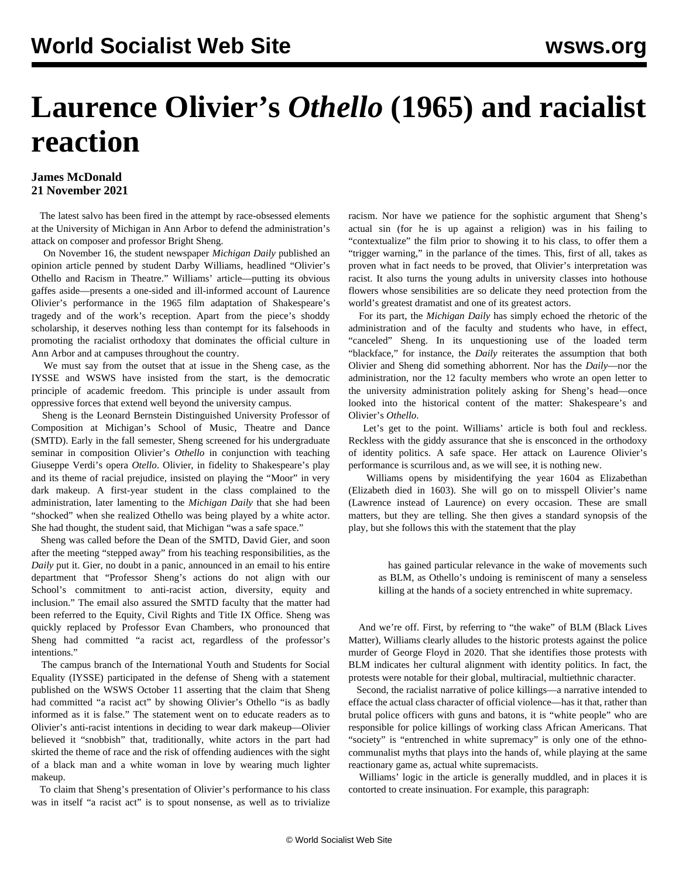## **Laurence Olivier's** *Othello* **(1965) and racialist reaction**

## **James McDonald 21 November 2021**

 The latest salvo has been fired in the attempt by race-obsessed elements at the University of Michigan in Ann Arbor to defend the administration's attack on composer and professor Bright Sheng.

 On November 16, the student newspaper *Michigan Daily* published an opinion article penned by student Darby Williams, headlined "Olivier's Othello and Racism in Theatre." Williams' article—putting its obvious gaffes aside—presents a one-sided and ill-informed account of Laurence Olivier's performance in the 1965 film adaptation of Shakespeare's tragedy and of the work's reception. Apart from the piece's shoddy scholarship, it deserves nothing less than contempt for its falsehoods in promoting the racialist orthodoxy that dominates the official culture in Ann Arbor and at campuses throughout the country.

 We must say from the outset that at issue in the Sheng case, as the IYSSE and WSWS have insisted from the start, is the democratic principle of academic freedom. This principle is under assault from oppressive forces that extend well beyond the university campus.

 Sheng is the Leonard Bernstein Distinguished University Professor of Composition at Michigan's School of Music, Theatre and Dance (SMTD). Early in the fall semester, Sheng screened for his undergraduate seminar in composition Olivier's *Othello* in conjunction with teaching Giuseppe Verdi's opera *Otello*. Olivier, in fidelity to Shakespeare's play and its theme of racial prejudice, insisted on playing the "Moor" in very dark makeup. A first-year student in the class complained to the administration, later lamenting to the *Michigan Daily* that she had been "shocked" when she realized Othello was being played by a white actor. She had thought, the student said, that Michigan "was a safe space."

 Sheng was called before the Dean of the SMTD, David Gier, and soon after the meeting "stepped away" from his teaching responsibilities, as the *Daily* put it. Gier, no doubt in a panic, announced in an email to his entire department that "Professor Sheng's actions do not align with our School's commitment to anti-racist action, diversity, equity and inclusion." The email also assured the SMTD faculty that the matter had been referred to the Equity, Civil Rights and Title IX Office. Sheng was quickly replaced by Professor Evan Chambers, who pronounced that Sheng had committed "a racist act, regardless of the professor's intentions."

 The campus branch of the International Youth and Students for Social Equality (IYSSE) participated in the defense of Sheng with a statement published on the WSWS October 11 asserting that the claim that Sheng had committed "a racist act" by showing Olivier's Othello "is as badly informed as it is false." The statement went on to educate readers as to Olivier's anti-racist intentions in deciding to wear dark makeup—Olivier believed it "snobbish" that, traditionally, white actors in the part had skirted the theme of race and the risk of offending audiences with the sight of a black man and a white woman in love by wearing much lighter makeup.

 To claim that Sheng's presentation of Olivier's performance to his class was in itself "a racist act" is to spout nonsense, as well as to trivialize racism. Nor have we patience for the sophistic argument that Sheng's actual sin (for he is up against a religion) was in his failing to "contextualize" the film prior to showing it to his class, to offer them a "trigger warning," in the parlance of the times. This, first of all, takes as proven what in fact needs to be proved, that Olivier's interpretation was racist. It also turns the young adults in university classes into hothouse flowers whose sensibilities are so delicate they need protection from the world's greatest dramatist and one of its greatest actors.

 For its part, the *Michigan Daily* has simply echoed the rhetoric of the administration and of the faculty and students who have, in effect, "canceled" Sheng. In its unquestioning use of the loaded term "blackface," for instance, the *Daily* reiterates the assumption that both Olivier and Sheng did something abhorrent. Nor has the *Daily*—nor the administration, nor the 12 faculty members who wrote an open letter to the university administration politely asking for Sheng's head—once looked into the historical content of the matter: Shakespeare's and Olivier's *Othello*.

 Let's get to the point. Williams' article is both foul and reckless. Reckless with the giddy assurance that she is ensconced in the orthodoxy of identity politics. A safe space. Her attack on Laurence Olivier's performance is scurrilous and, as we will see, it is nothing new.

 Williams opens by misidentifying the year 1604 as Elizabethan (Elizabeth died in 1603). She will go on to misspell Olivier's name (Lawrence instead of Laurence) on every occasion. These are small matters, but they are telling. She then gives a standard synopsis of the play, but she follows this with the statement that the play

 has gained particular relevance in the wake of movements such as BLM, as Othello's undoing is reminiscent of many a senseless killing at the hands of a society entrenched in white supremacy.

 And we're off. First, by referring to "the wake" of BLM (Black Lives Matter), Williams clearly alludes to the historic protests against the police murder of George Floyd in 2020. That she identifies those protests with BLM indicates her cultural alignment with identity politics. In fact, the protests were notable for their global, multiracial, multiethnic character.

 Second, the racialist narrative of police killings—a narrative intended to efface the actual class character of official violence—has it that, rather than brutal police officers with guns and batons, it is "white people" who are responsible for police killings of working class African Americans. That "society" is "entrenched in white supremacy" is only one of the ethnocommunalist myths that plays into the hands of, while playing at the same reactionary game as, actual white supremacists.

 Williams' logic in the article is generally muddled, and in places it is contorted to create insinuation. For example, this paragraph: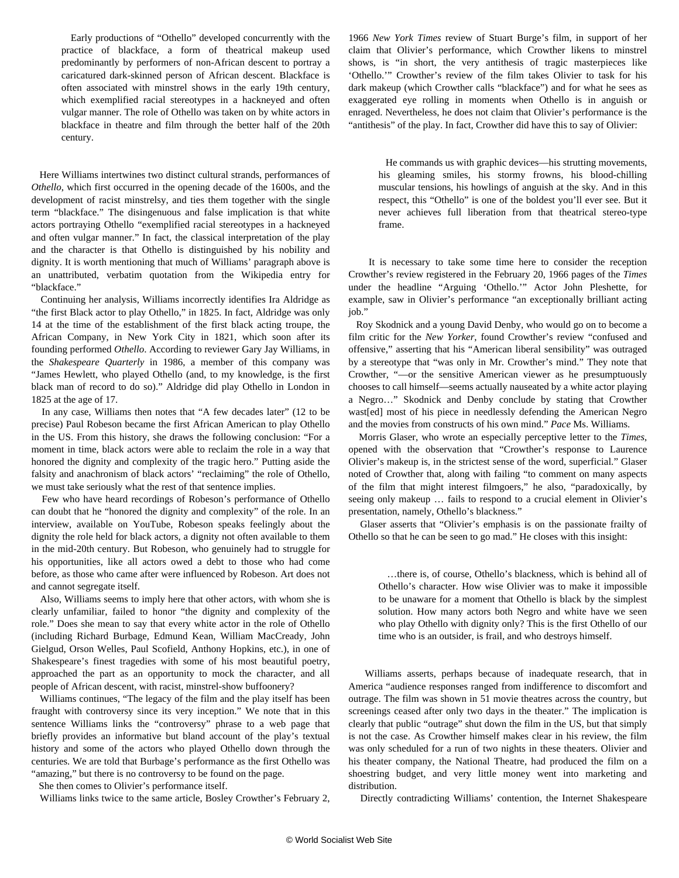Early productions of "Othello" developed concurrently with the practice of blackface, a form of theatrical makeup used predominantly by performers of non-African descent to portray a caricatured dark-skinned person of African descent. Blackface is often associated with minstrel shows in the early 19th century, which exemplified racial stereotypes in a hackneyed and often vulgar manner. The role of Othello was taken on by white actors in blackface in theatre and film through the better half of the 20th century.

 Here Williams intertwines two distinct cultural strands, performances of *Othello*, which first occurred in the opening decade of the 1600s, and the development of racist minstrelsy, and ties them together with the single term "blackface." The disingenuous and false implication is that white actors portraying Othello "exemplified racial stereotypes in a hackneyed and often vulgar manner." In fact, the classical interpretation of the play and the character is that Othello is distinguished by his nobility and dignity. It is worth mentioning that much of Williams' paragraph above is an unattributed, verbatim quotation from the Wikipedia entry for "blackface."

 Continuing her analysis, Williams incorrectly identifies Ira Aldridge as "the first Black actor to play Othello," in 1825. In fact, Aldridge was only 14 at the time of the establishment of the first black acting troupe, the African Company, in New York City in 1821, which soon after its founding performed *Othello*. According to reviewer Gary Jay Williams, in the *Shakespeare Quarterly* in 1986, a member of this company was "James Hewlett, who played Othello (and, to my knowledge, is the first black man of record to do so)." Aldridge did play Othello in London in 1825 at the age of 17.

 In any case, Williams then notes that "A few decades later" (12 to be precise) Paul Robeson became the first African American to play Othello in the US. From this history, she draws the following conclusion: "For a moment in time, black actors were able to reclaim the role in a way that honored the dignity and complexity of the tragic hero." Putting aside the falsity and anachronism of black actors' "reclaiming" the role of Othello, we must take seriously what the rest of that sentence implies.

 Few who have heard recordings of Robeson's performance of Othello can doubt that he "honored the dignity and complexity" of the role. In an interview, available on YouTube, Robeson speaks feelingly about the dignity the role held for black actors, a dignity not often available to them in the mid-20th century. But Robeson, who genuinely had to struggle for his opportunities, like all actors owed a debt to those who had come before, as those who came after were influenced by Robeson. Art does not and cannot segregate itself.

 Also, Williams seems to imply here that other actors, with whom she is clearly unfamiliar, failed to honor "the dignity and complexity of the role." Does she mean to say that every white actor in the role of Othello (including Richard Burbage, Edmund Kean, William MacCready, John Gielgud, Orson Welles, Paul Scofield, Anthony Hopkins, etc.), in one of Shakespeare's finest tragedies with some of his most beautiful poetry, approached the part as an opportunity to mock the character, and all people of African descent, with racist, minstrel-show buffoonery?

 Williams continues, "The legacy of the film and the play itself has been fraught with controversy since its very inception." We note that in this sentence Williams links the "controversy" phrase to a web page that briefly provides an informative but bland account of the play's textual history and some of the actors who played Othello down through the centuries. We are told that Burbage's performance as the first Othello was "amazing," but there is no controversy to be found on the page.

She then comes to Olivier's performance itself.

Williams links twice to the same article, Bosley Crowther's February 2,

1966 *New York Times* review of Stuart Burge's film, in support of her claim that Olivier's performance, which Crowther likens to minstrel shows, is "in short, the very antithesis of tragic masterpieces like 'Othello.'" Crowther's review of the film takes Olivier to task for his dark makeup (which Crowther calls "blackface") and for what he sees as exaggerated eye rolling in moments when Othello is in anguish or enraged. Nevertheless, he does not claim that Olivier's performance is the "antithesis" of the play. In fact, Crowther did have this to say of Olivier:

 He commands us with graphic devices—his strutting movements, his gleaming smiles, his stormy frowns, his blood-chilling muscular tensions, his howlings of anguish at the sky. And in this respect, this "Othello" is one of the boldest you'll ever see. But it never achieves full liberation from that theatrical stereo-type frame.

 It is necessary to take some time here to consider the reception Crowther's review registered in the February 20, 1966 pages of the *Times* under the headline "Arguing 'Othello.'" Actor John Pleshette, for example, saw in Olivier's performance "an exceptionally brilliant acting job."

 Roy Skodnick and a young David Denby, who would go on to become a film critic for the *New Yorker*, found Crowther's review "confused and offensive," asserting that his "American liberal sensibility" was outraged by a stereotype that "was only in Mr. Crowther's mind." They note that Crowther, "—or the sensitive American viewer as he presumptuously chooses to call himself—seems actually nauseated by a white actor playing a Negro…" Skodnick and Denby conclude by stating that Crowther wast[ed] most of his piece in needlessly defending the American Negro and the movies from constructs of his own mind." *Pace* Ms. Williams.

 Morris Glaser, who wrote an especially perceptive letter to the *Times*, opened with the observation that "Crowther's response to Laurence Olivier's makeup is, in the strictest sense of the word, superficial." Glaser noted of Crowther that, along with failing "to comment on many aspects of the film that might interest filmgoers," he also, "paradoxically, by seeing only makeup … fails to respond to a crucial element in Olivier's presentation, namely, Othello's blackness."

 Glaser asserts that "Olivier's emphasis is on the passionate frailty of Othello so that he can be seen to go mad." He closes with this insight:

 …there is, of course, Othello's blackness, which is behind all of Othello's character. How wise Olivier was to make it impossible to be unaware for a moment that Othello is black by the simplest solution. How many actors both Negro and white have we seen who play Othello with dignity only? This is the first Othello of our time who is an outsider, is frail, and who destroys himself.

 Williams asserts, perhaps because of inadequate research, that in America "audience responses ranged from indifference to discomfort and outrage. The film was shown in 51 movie theatres across the country, but screenings ceased after only two days in the theater." The implication is clearly that public "outrage" shut down the film in the US, but that simply is not the case. As Crowther himself makes clear in his review, the film was only scheduled for a run of two nights in these theaters. Olivier and his theater company, the National Theatre, had produced the film on a shoestring budget, and very little money went into marketing and distribution.

Directly contradicting Williams' contention, the Internet Shakespeare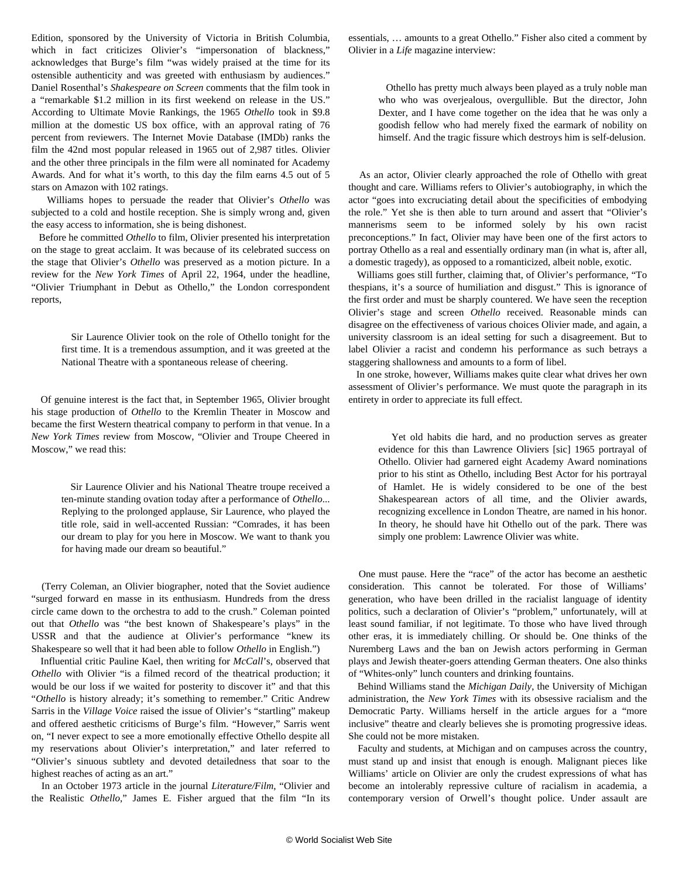Edition, sponsored by the University of Victoria in British Columbia, which in fact criticizes Olivier's "impersonation of blackness," acknowledges that Burge's film "was widely praised at the time for its ostensible authenticity and was greeted with enthusiasm by audiences." Daniel Rosenthal's *Shakespeare on Screen* comments that the film took in a "remarkable \$1.2 million in its first weekend on release in the US." According to Ultimate Movie Rankings, the 1965 *Othello* took in \$9.8 million at the domestic US box office, with an approval rating of 76 percent from reviewers. The Internet Movie Database (IMDb) ranks the film the 42nd most popular released in 1965 out of 2,987 titles. Olivier and the other three principals in the film were all nominated for Academy Awards. And for what it's worth, to this day the film earns 4.5 out of 5 stars on Amazon with 102 ratings.

 Williams hopes to persuade the reader that Olivier's *Othello* was subjected to a cold and hostile reception. She is simply wrong and, given the easy access to information, she is being dishonest.

 Before he committed *Othello* to film, Olivier presented his interpretation on the stage to great acclaim. It was because of its celebrated success on the stage that Olivier's *Othello* was preserved as a motion picture. In a review for the *New York Times* of April 22, 1964, under the headline, "Olivier Triumphant in Debut as Othello," the London correspondent reports,

 Sir Laurence Olivier took on the role of Othello tonight for the first time. It is a tremendous assumption, and it was greeted at the National Theatre with a spontaneous release of cheering.

 Of genuine interest is the fact that, in September 1965, Olivier brought his stage production of *Othello* to the Kremlin Theater in Moscow and became the first Western theatrical company to perform in that venue. In a *New York Times* review from Moscow, "Olivier and Troupe Cheered in Moscow," we read this:

 Sir Laurence Olivier and his National Theatre troupe received a ten-minute standing ovation today after a performance of *Othello*... Replying to the prolonged applause, Sir Laurence, who played the title role, said in well-accented Russian: "Comrades, it has been our dream to play for you here in Moscow. We want to thank you for having made our dream so beautiful."

 (Terry Coleman, an Olivier biographer, noted that the Soviet audience "surged forward en masse in its enthusiasm. Hundreds from the dress circle came down to the orchestra to add to the crush." Coleman pointed out that *Othello* was "the best known of Shakespeare's plays" in the USSR and that the audience at Olivier's performance "knew its Shakespeare so well that it had been able to follow *Othello* in English.")

 Influential critic Pauline Kael, then writing for *McCall*'s, observed that *Othello* with Olivier "is a filmed record of the theatrical production; it would be our loss if we waited for posterity to discover it" and that this "*Othello* is history already; it's something to remember." Critic Andrew Sarris in the *Village Voice* raised the issue of Olivier's "startling" makeup and offered aesthetic criticisms of Burge's film. "However," Sarris went on, "I never expect to see a more emotionally effective Othello despite all my reservations about Olivier's interpretation," and later referred to "Olivier's sinuous subtlety and devoted detailedness that soar to the highest reaches of acting as an art."

 In an October 1973 article in the journal *Literature/Film*, "Olivier and the Realistic *Othello*," James E. Fisher argued that the film "In its essentials, … amounts to a great Othello." Fisher also cited a comment by Olivier in a *Life* magazine interview:

 Othello has pretty much always been played as a truly noble man who who was overjealous, overgullible. But the director, John Dexter, and I have come together on the idea that he was only a goodish fellow who had merely fixed the earmark of nobility on himself. And the tragic fissure which destroys him is self-delusion.

 As an actor, Olivier clearly approached the role of Othello with great thought and care. Williams refers to Olivier's autobiography, in which the actor "goes into excruciating detail about the specificities of embodying the role." Yet she is then able to turn around and assert that "Olivier's mannerisms seem to be informed solely by his own racist preconceptions." In fact, Olivier may have been one of the first actors to portray Othello as a real and essentially ordinary man (in what is, after all, a domestic tragedy), as opposed to a romanticized, albeit noble, exotic.

 Williams goes still further, claiming that, of Olivier's performance, "To thespians, it's a source of humiliation and disgust." This is ignorance of the first order and must be sharply countered. We have seen the reception Olivier's stage and screen *Othello* received. Reasonable minds can disagree on the effectiveness of various choices Olivier made, and again, a university classroom is an ideal setting for such a disagreement. But to label Olivier a racist and condemn his performance as such betrays a staggering shallowness and amounts to a form of libel.

 In one stroke, however, Williams makes quite clear what drives her own assessment of Olivier's performance. We must quote the paragraph in its entirety in order to appreciate its full effect.

 Yet old habits die hard, and no production serves as greater evidence for this than Lawrence Oliviers [sic] 1965 portrayal of Othello. Olivier had garnered eight Academy Award nominations prior to his stint as Othello, including Best Actor for his portrayal of Hamlet. He is widely considered to be one of the best Shakespearean actors of all time, and the Olivier awards, recognizing excellence in London Theatre, are named in his honor. In theory, he should have hit Othello out of the park. There was simply one problem: Lawrence Olivier was white.

 One must pause. Here the "race" of the actor has become an aesthetic consideration. This cannot be tolerated. For those of Williams' generation, who have been drilled in the racialist language of identity politics, such a declaration of Olivier's "problem," unfortunately, will at least sound familiar, if not legitimate. To those who have lived through other eras, it is immediately chilling. Or should be. One thinks of the Nuremberg Laws and the ban on Jewish actors performing in German plays and Jewish theater-goers attending German theaters. One also thinks of "Whites-only" lunch counters and drinking fountains.

 Behind Williams stand the *Michigan Daily*, the University of Michigan administration, the *New York Times* with its obsessive racialism and the Democratic Party. Williams herself in the article argues for a "more inclusive" theatre and clearly believes she is promoting progressive ideas. She could not be more mistaken.

 Faculty and students, at Michigan and on campuses across the country, must stand up and insist that enough is enough. Malignant pieces like Williams' article on Olivier are only the crudest expressions of what has become an intolerably repressive culture of racialism in academia, a contemporary version of Orwell's thought police. Under assault are